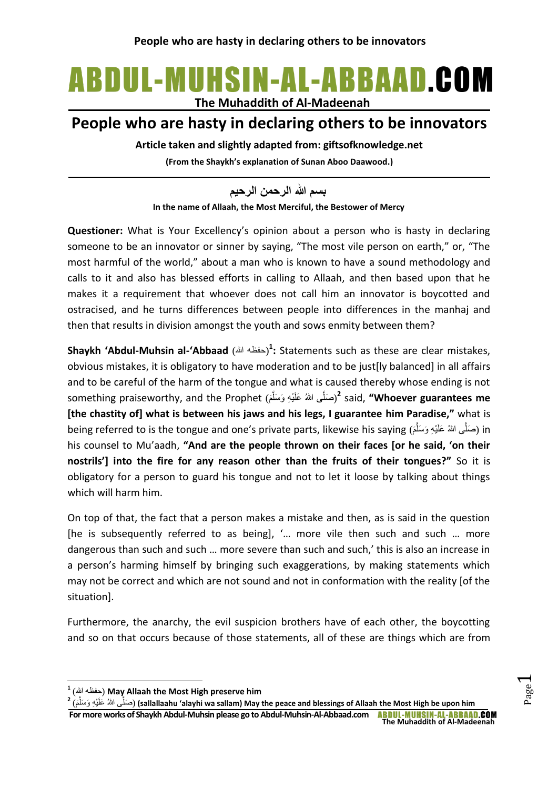## ABDUL-MUHSIN-AL-ABBAAD.COM **The Muhaddith of Al-Madeenah**

## **People who are hasty in declaring others to be innovators**

**Article taken and slightly adapted from: giftsofknowledge.net**

**(From the Shaykh's explanation of Sunan Aboo Daawood.)**

**In the name of Allaah, the Most Merciful, the Bestower of Mercy بسم هللا الرحمن الرحيم**

**Questioner:** What is Your Excellency's opinion about a person who is hasty in declaring someone to be an innovator or sinner by saying, "The most vile person on earth," or, "The most harmful of the world," about a man who is known to have a sound methodology and calls to it and also has blessed efforts in calling to Allaah, and then based upon that he makes it a requirement that whoever does not call him an innovator is boycotted and ostracised, and he turns differences between people into differences in the manhaj and then that results in division amongst the youth and sows enmity between them?

**Shaykh 'Abdul-Muhsin al-'Abbaad** (حفظه الله)<sup>1</sup>: Statements such as these are clear mistakes, obvious mistakes, it is obligatory to have moderation and to be just[ly balanced] in all affairs and to be careful of the harm of the tongue and what is caused thereby whose ending is not something praiseworthy, and the Prophet (َ م َّى هللاُ َعلَ ْي ِه َو َسل ( َصل **2** said, **"Whoever guarantees me**  َّ **[the chastity of] what is between his jaws and his legs, I guarantee him Paradise,"** what is being referred to is the tongue and one's private parts, likewise his saying (صَلَّى اللهُ عَلَيْهِ وَسَلَّمَ) َّ his counsel to Mu'aadh, **"And are the people thrown on their faces [or he said, 'on their nostrils'] into the fire for any reason other than the fruits of their tongues?"** So it is obligatory for a person to guard his tongue and not to let it loose by talking about things which will harm him.

On top of that, the fact that a person makes a mistake and then, as is said in the question [he is subsequently referred to as being], '… more vile then such and such … more dangerous than such and such ... more severe than such and such,' this is also an increase in a person's harming himself by bringing such exaggerations, by making statements which may not be correct and which are not sound and not in conformation with the reality [of the situation].

Furthermore, the anarchy, the evil suspicion brothers have of each other, the boycotting and so on that occurs because of those statements, all of these are things which are from

**.** 

<sup>2</sup> (مَلَّى اللهُ عَلَيْهِ وَسَلَّمَ) (sallallaahu 'alayhi wa sallam) May the peace and blessings of Allaah the Most High be upon him َّ

Page  $\overline{\phantom{0}}$ 

<sup>&</sup>lt;sup>1</sup> (حفظه الله) May Allaah the Most High preserve him